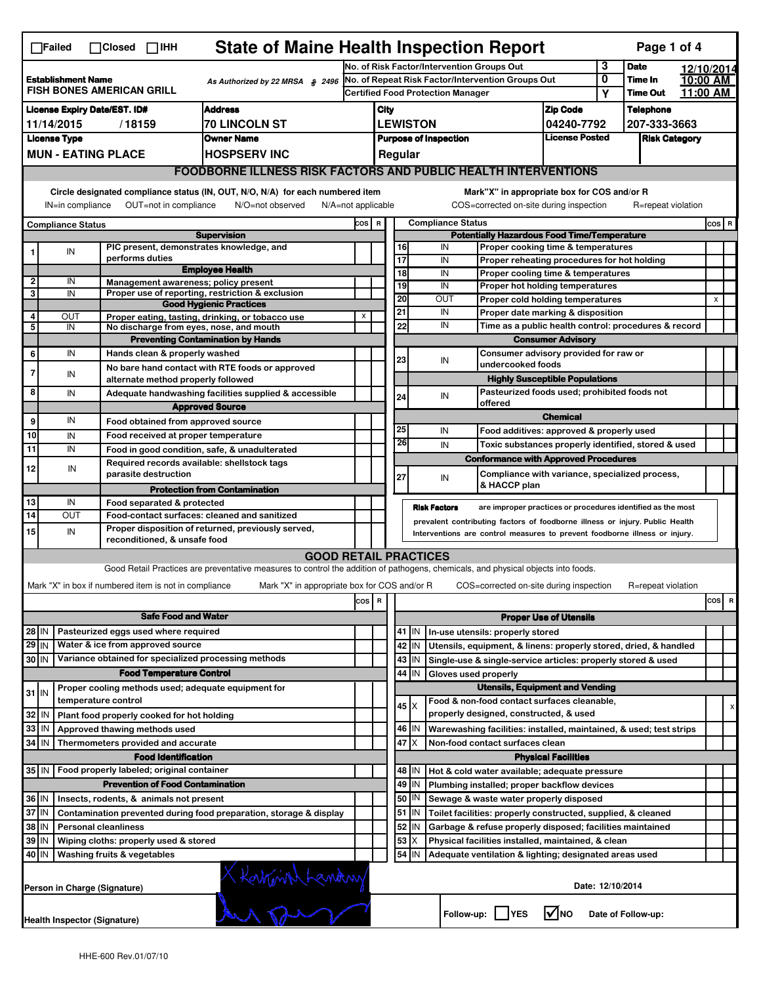| <b>State of Maine Health Inspection Report</b><br>Page 1 of 4<br>$\Box$ Failed<br>$\Box$ Closed $\Box$ IHH                    |                                                                                                           |                                                                            |                                                                                                                                   |                                                                                               |                                                                                               |                                                                     |                                                                                     |                                          |                                                                                                                 |                               |                      |                                  |                      |                |   |
|-------------------------------------------------------------------------------------------------------------------------------|-----------------------------------------------------------------------------------------------------------|----------------------------------------------------------------------------|-----------------------------------------------------------------------------------------------------------------------------------|-----------------------------------------------------------------------------------------------|-----------------------------------------------------------------------------------------------|---------------------------------------------------------------------|-------------------------------------------------------------------------------------|------------------------------------------|-----------------------------------------------------------------------------------------------------------------|-------------------------------|----------------------|----------------------------------|----------------------|----------------|---|
|                                                                                                                               |                                                                                                           |                                                                            |                                                                                                                                   |                                                                                               |                                                                                               | 3<br>No. of Risk Factor/Intervention Groups Out                     |                                                                                     |                                          |                                                                                                                 |                               |                      | <b>Date</b>                      | 12/10/2014           |                |   |
| <b>Establishment Name</b><br>As Authorized by 22 MRSA § 2496<br><b>FISH BONES AMERICAN GRILL</b>                              |                                                                                                           |                                                                            |                                                                                                                                   |                                                                                               | No. of Repeat Risk Factor/Intervention Groups Out<br><b>Certified Food Protection Manager</b> |                                                                     |                                                                                     |                                          |                                                                                                                 |                               | 0                    | Time In<br><b>Time Out</b>       | 10:00 AM<br>11:00 AM |                |   |
|                                                                                                                               |                                                                                                           |                                                                            |                                                                                                                                   |                                                                                               |                                                                                               |                                                                     |                                                                                     |                                          |                                                                                                                 |                               | Υ                    |                                  |                      |                |   |
| <b>Address</b><br><b>License Expiry Date/EST. ID#</b><br><b>70 LINCOLN ST</b><br>11/14/2015<br>/18159                         |                                                                                                           |                                                                            |                                                                                                                                   |                                                                                               | City<br><b>LEWISTON</b>                                                                       |                                                                     |                                                                                     |                                          |                                                                                                                 | <b>Zip Code</b>               |                      | <b>Telephone</b><br>207-333-3663 |                      |                |   |
| <b>License Type</b><br><b>Owner Name</b>                                                                                      |                                                                                                           |                                                                            |                                                                                                                                   |                                                                                               |                                                                                               | 04240-7792<br><b>License Posted</b><br><b>Purpose of Inspection</b> |                                                                                     |                                          |                                                                                                                 |                               | <b>Risk Category</b> |                                  |                      |                |   |
|                                                                                                                               |                                                                                                           | <b>MUN - EATING PLACE</b>                                                  | <b>HOSPSERV INC</b>                                                                                                               |                                                                                               | Regular                                                                                       |                                                                     |                                                                                     |                                          |                                                                                                                 |                               |                      |                                  |                      |                |   |
|                                                                                                                               |                                                                                                           |                                                                            | <b>FOODBORNE ILLNESS RISK FACTORS AND PUBLIC HEALTH INTERVENTIONS</b>                                                             |                                                                                               |                                                                                               |                                                                     |                                                                                     |                                          |                                                                                                                 |                               |                      |                                  |                      |                |   |
| Circle designated compliance status (IN, OUT, N/O, N/A) for each numbered item<br>Mark"X" in appropriate box for COS and/or R |                                                                                                           |                                                                            |                                                                                                                                   |                                                                                               |                                                                                               |                                                                     |                                                                                     |                                          |                                                                                                                 |                               |                      |                                  |                      |                |   |
|                                                                                                                               | OUT=not in compliance<br>N/O=not observed<br>IN=in compliance                                             |                                                                            |                                                                                                                                   |                                                                                               |                                                                                               |                                                                     | COS=corrected on-site during inspection<br>R=repeat violation<br>N/A=not applicable |                                          |                                                                                                                 |                               |                      |                                  |                      |                |   |
| <b>Compliance Status</b>                                                                                                      |                                                                                                           |                                                                            | cos                                                                                                                               | <b>Compliance Status</b><br>$\mathbf R$<br><b>Potentially Hazardous Food Time/Temperature</b> |                                                                                               |                                                                     |                                                                                     |                                          |                                                                                                                 |                               |                      | COS R                            |                      |                |   |
|                                                                                                                               | IN                                                                                                        | PIC present, demonstrates knowledge, and                                   | <b>Supervision</b>                                                                                                                |                                                                                               |                                                                                               |                                                                     | 16                                                                                  | IN<br>Proper cooking time & temperatures |                                                                                                                 |                               |                      |                                  |                      |                |   |
|                                                                                                                               |                                                                                                           | performs duties                                                            |                                                                                                                                   |                                                                                               |                                                                                               |                                                                     | 17                                                                                  | IN                                       | Proper reheating procedures for hot holding                                                                     |                               |                      |                                  |                      |                |   |
| $\overline{\mathbf{2}}$                                                                                                       | IN                                                                                                        | Management awareness: policy present                                       | <b>Employee Health</b>                                                                                                            |                                                                                               |                                                                                               |                                                                     | $\overline{18}$                                                                     | IN                                       | Proper cooling time & temperatures                                                                              |                               |                      |                                  |                      |                |   |
| 3                                                                                                                             | IN                                                                                                        |                                                                            | Proper use of reporting, restriction & exclusion                                                                                  |                                                                                               |                                                                                               |                                                                     | 19                                                                                  | IN                                       | Proper hot holding temperatures                                                                                 |                               |                      |                                  |                      |                |   |
|                                                                                                                               |                                                                                                           |                                                                            | <b>Good Hygienic Practices</b>                                                                                                    |                                                                                               |                                                                                               |                                                                     | 20<br>21                                                                            | OUT<br>IN                                | Proper cold holding temperatures<br>Proper date marking & disposition                                           |                               |                      |                                  |                      | $\pmb{\times}$ |   |
| 4<br>5                                                                                                                        | OUT<br>IN                                                                                                 | No discharge from eyes, nose, and mouth                                    | Proper eating, tasting, drinking, or tobacco use                                                                                  | X                                                                                             |                                                                                               |                                                                     | 22                                                                                  | IN                                       | Time as a public health control: procedures & record                                                            |                               |                      |                                  |                      |                |   |
|                                                                                                                               |                                                                                                           |                                                                            | <b>Preventing Contamination by Hands</b>                                                                                          |                                                                                               |                                                                                               |                                                                     |                                                                                     |                                          |                                                                                                                 | <b>Consumer Advisory</b>      |                      |                                  |                      |                |   |
| 6                                                                                                                             | IN                                                                                                        | Hands clean & properly washed                                              |                                                                                                                                   |                                                                                               |                                                                                               |                                                                     |                                                                                     |                                          | Consumer advisory provided for raw or                                                                           |                               |                      |                                  |                      |                |   |
| $\overline{7}$                                                                                                                | IN                                                                                                        |                                                                            | No bare hand contact with RTE foods or approved                                                                                   |                                                                                               |                                                                                               |                                                                     | 23                                                                                  | IN                                       | undercooked foods                                                                                               |                               |                      |                                  |                      |                |   |
|                                                                                                                               |                                                                                                           | alternate method properly followed                                         |                                                                                                                                   |                                                                                               |                                                                                               |                                                                     |                                                                                     |                                          |                                                                                                                 |                               |                      |                                  |                      |                |   |
| 8                                                                                                                             | IN                                                                                                        |                                                                            | Pasteurized foods used; prohibited foods not<br>Adequate handwashing facilities supplied & accessible<br>24<br>IN<br>offered      |                                                                                               |                                                                                               |                                                                     |                                                                                     |                                          |                                                                                                                 |                               |                      |                                  |                      |                |   |
| 9                                                                                                                             | IN                                                                                                        |                                                                            | <b>Approved Source</b>                                                                                                            |                                                                                               |                                                                                               |                                                                     |                                                                                     |                                          |                                                                                                                 | <b>Chemical</b>               |                      |                                  |                      |                |   |
| 10                                                                                                                            | IN                                                                                                        | Food obtained from approved source<br>Food received at proper temperature  |                                                                                                                                   |                                                                                               |                                                                                               |                                                                     | 25                                                                                  | IN                                       | Food additives: approved & properly used                                                                        |                               |                      |                                  |                      |                |   |
| $\overline{11}$                                                                                                               | IN                                                                                                        |                                                                            | Food in good condition, safe, & unadulterated                                                                                     |                                                                                               |                                                                                               |                                                                     | 26                                                                                  | IN                                       | Toxic substances properly identified, stored & used                                                             |                               |                      |                                  |                      |                |   |
|                                                                                                                               |                                                                                                           | Required records available: shellstock tags                                |                                                                                                                                   |                                                                                               |                                                                                               |                                                                     |                                                                                     |                                          | <b>Conformance with Approved Procedures</b>                                                                     |                               |                      |                                  |                      |                |   |
| 12                                                                                                                            | IN                                                                                                        | parasite destruction                                                       |                                                                                                                                   |                                                                                               |                                                                                               |                                                                     | 27                                                                                  | IN                                       | Compliance with variance, specialized process,                                                                  |                               |                      |                                  |                      |                |   |
|                                                                                                                               |                                                                                                           |                                                                            | <b>Protection from Contamination</b>                                                                                              |                                                                                               |                                                                                               |                                                                     |                                                                                     |                                          | & HACCP plan                                                                                                    |                               |                      |                                  |                      |                |   |
| 13<br>14                                                                                                                      | IN<br>OUT                                                                                                 | Food separated & protected                                                 |                                                                                                                                   |                                                                                               |                                                                                               |                                                                     |                                                                                     | <b>Risk Factors</b>                      | are improper practices or procedures identified as the most                                                     |                               |                      |                                  |                      |                |   |
|                                                                                                                               |                                                                                                           |                                                                            | Food-contact surfaces: cleaned and sanitized<br>Proper disposition of returned, previously served,                                |                                                                                               |                                                                                               |                                                                     |                                                                                     |                                          | prevalent contributing factors of foodborne illness or injury. Public Health                                    |                               |                      |                                  |                      |                |   |
| 15                                                                                                                            | IN                                                                                                        | reconditioned, & unsafe food                                               |                                                                                                                                   |                                                                                               |                                                                                               |                                                                     |                                                                                     |                                          | Interventions are control measures to prevent foodborne illness or injury.                                      |                               |                      |                                  |                      |                |   |
|                                                                                                                               |                                                                                                           |                                                                            | <b>GOOD RETAIL PRACTICES</b>                                                                                                      |                                                                                               |                                                                                               |                                                                     |                                                                                     |                                          |                                                                                                                 |                               |                      |                                  |                      |                |   |
|                                                                                                                               |                                                                                                           |                                                                            | Good Retail Practices are preventative measures to control the addition of pathogens, chemicals, and physical objects into foods. |                                                                                               |                                                                                               |                                                                     |                                                                                     |                                          |                                                                                                                 |                               |                      |                                  |                      |                |   |
|                                                                                                                               |                                                                                                           | Mark "X" in box if numbered item is not in compliance                      | Mark "X" in appropriate box for COS and/or R                                                                                      |                                                                                               |                                                                                               |                                                                     |                                                                                     |                                          | COS=corrected on-site during inspection                                                                         |                               |                      | R=repeat violation               |                      |                |   |
|                                                                                                                               |                                                                                                           |                                                                            |                                                                                                                                   | cos R                                                                                         |                                                                                               |                                                                     |                                                                                     |                                          |                                                                                                                 |                               |                      |                                  |                      | cos            | R |
|                                                                                                                               |                                                                                                           | <b>Safe Food and Water</b>                                                 |                                                                                                                                   |                                                                                               |                                                                                               |                                                                     |                                                                                     |                                          |                                                                                                                 | <b>Proper Use of Utensils</b> |                      |                                  |                      |                |   |
| $28$ IN                                                                                                                       |                                                                                                           | Pasteurized eggs used where required                                       |                                                                                                                                   |                                                                                               |                                                                                               |                                                                     | 41<br>IN                                                                            |                                          | In-use utensils: properly stored                                                                                |                               |                      |                                  |                      |                |   |
| $29$ IN                                                                                                                       |                                                                                                           | Water & ice from approved source                                           |                                                                                                                                   |                                                                                               |                                                                                               |                                                                     | 42 IN                                                                               |                                          | Utensils, equipment, & linens: properly stored, dried, & handled                                                |                               |                      |                                  |                      |                |   |
| 30 IN                                                                                                                         |                                                                                                           | Variance obtained for specialized processing methods                       |                                                                                                                                   |                                                                                               |                                                                                               |                                                                     | 43 IN                                                                               |                                          | Single-use & single-service articles: properly stored & used                                                    |                               |                      |                                  |                      |                |   |
|                                                                                                                               |                                                                                                           | <b>Food Temperature Control</b>                                            |                                                                                                                                   |                                                                                               |                                                                                               |                                                                     | 44<br>IN                                                                            |                                          | Gloves used properly<br><b>Utensils, Equipment and Vending</b>                                                  |                               |                      |                                  |                      |                |   |
| $31$ IN                                                                                                                       |                                                                                                           | Proper cooling methods used; adequate equipment for<br>temperature control |                                                                                                                                   |                                                                                               |                                                                                               |                                                                     |                                                                                     |                                          | Food & non-food contact surfaces cleanable,                                                                     |                               |                      |                                  |                      |                |   |
| 32                                                                                                                            | IN                                                                                                        | Plant food properly cooked for hot holding                                 |                                                                                                                                   |                                                                                               |                                                                                               |                                                                     | 45   X                                                                              |                                          | properly designed, constructed, & used                                                                          |                               |                      |                                  |                      |                | х |
| 33                                                                                                                            | IN                                                                                                        | Approved thawing methods used                                              |                                                                                                                                   |                                                                                               |                                                                                               |                                                                     | 46 IN                                                                               |                                          | Warewashing facilities: installed, maintained, & used; test strips                                              |                               |                      |                                  |                      |                |   |
| 34 IN                                                                                                                         |                                                                                                           | Thermometers provided and accurate                                         |                                                                                                                                   |                                                                                               |                                                                                               |                                                                     | $47$ $\times$                                                                       |                                          | Non-food contact surfaces clean                                                                                 |                               |                      |                                  |                      |                |   |
|                                                                                                                               |                                                                                                           | <b>Food Identification</b>                                                 |                                                                                                                                   |                                                                                               |                                                                                               |                                                                     |                                                                                     |                                          |                                                                                                                 | <b>Physical Facilities</b>    |                      |                                  |                      |                |   |
| 35   IN                                                                                                                       |                                                                                                           | Food properly labeled; original container                                  |                                                                                                                                   |                                                                                               |                                                                                               |                                                                     | 48   IN                                                                             |                                          | Hot & cold water available; adequate pressure                                                                   |                               |                      |                                  |                      |                |   |
|                                                                                                                               |                                                                                                           | <b>Prevention of Food Contamination</b>                                    |                                                                                                                                   |                                                                                               |                                                                                               |                                                                     | 49<br>IN<br>Plumbing installed; proper backflow devices                             |                                          |                                                                                                                 |                               |                      |                                  |                      |                |   |
| 36 IN                                                                                                                         |                                                                                                           | Insects, rodents, & animals not present                                    |                                                                                                                                   |                                                                                               |                                                                                               |                                                                     | 50<br>IN                                                                            |                                          | Sewage & waste water properly disposed                                                                          |                               |                      |                                  |                      |                |   |
| 37 IN<br>Contamination prevented during food preparation, storage & display                                                   |                                                                                                           |                                                                            |                                                                                                                                   |                                                                                               |                                                                                               |                                                                     | $51$ $\vert$ IN<br>52                                                               |                                          | Toilet facilities: properly constructed, supplied, & cleaned                                                    |                               |                      |                                  |                      |                |   |
| 39                                                                                                                            | 38<br>ΙM<br><b>Personal cleanliness</b>                                                                   |                                                                            |                                                                                                                                   |                                                                                               |                                                                                               |                                                                     | IN<br>53<br>X                                                                       |                                          | Garbage & refuse properly disposed; facilities maintained<br>Physical facilities installed, maintained, & clean |                               |                      |                                  |                      |                |   |
|                                                                                                                               | ΙM<br>Wiping cloths: properly used & stored<br>40 IN<br>Washing fruits & vegetables                       |                                                                            |                                                                                                                                   |                                                                                               |                                                                                               |                                                                     | 54 IN                                                                               |                                          | Adequate ventilation & lighting; designated areas used                                                          |                               |                      |                                  |                      |                |   |
|                                                                                                                               | Date: 12/10/2014<br>Person in Charge (Signature)                                                          |                                                                            |                                                                                                                                   |                                                                                               |                                                                                               |                                                                     |                                                                                     |                                          |                                                                                                                 |                               |                      |                                  |                      |                |   |
|                                                                                                                               | X Kortown Landwy<br>$\sqrt{ }$ NO<br>Follow-up: YES<br>Date of Follow-up:<br>Health Inspector (Signature) |                                                                            |                                                                                                                                   |                                                                                               |                                                                                               |                                                                     |                                                                                     |                                          |                                                                                                                 |                               |                      |                                  |                      |                |   |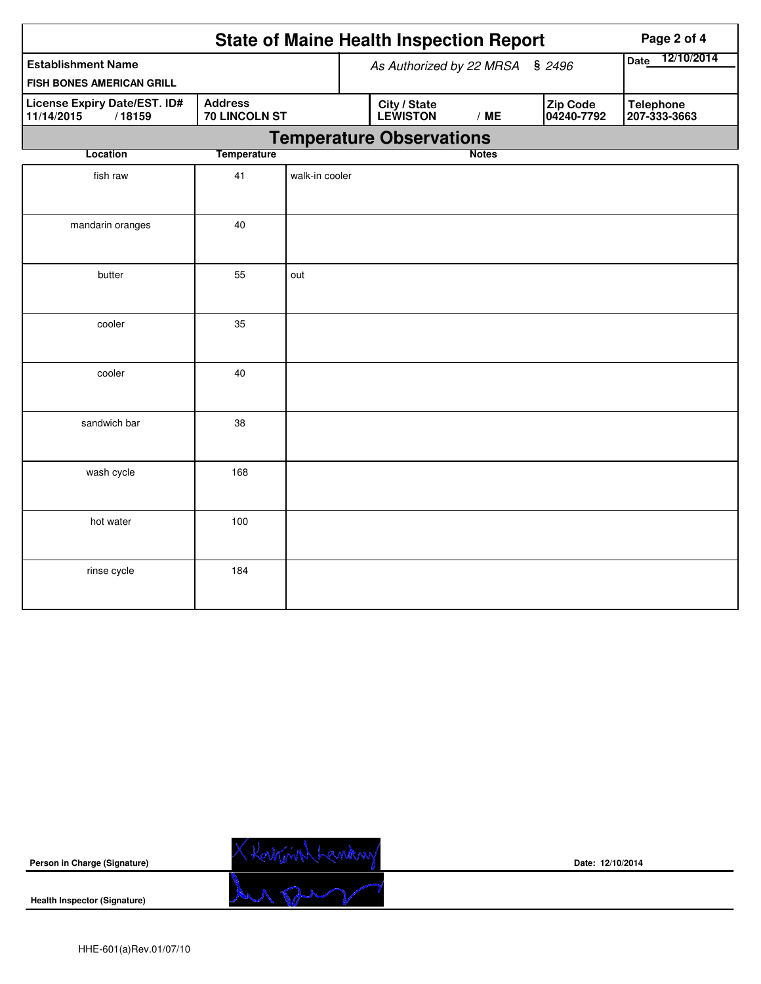|                                                                                         |     | <b>State of Maine Health Inspection Report</b> | Page 2 of 4 |                                 |                    |                        |                                  |
|-----------------------------------------------------------------------------------------|-----|------------------------------------------------|-------------|---------------------------------|--------------------|------------------------|----------------------------------|
| <b>Establishment Name</b>                                                               |     |                                                |             | As Authorized by 22 MRSA § 2496 | 12/10/2014<br>Date |                        |                                  |
| FISH BONES AMERICAN GRILL                                                               |     |                                                |             |                                 |                    |                        |                                  |
| <b>Address</b><br>License Expiry Date/EST. ID#<br>11/14/2015<br>/18159<br>70 LINCOLN ST |     |                                                |             | <b>City / State</b><br>LEWISTON | /ME                | Zip Code<br>04240-7792 | <b>Telephone</b><br>207-333-3663 |
|                                                                                         |     |                                                |             | <b>Temperature Observations</b> |                    |                        |                                  |
| <b>Temperature</b><br>Location                                                          |     |                                                |             |                                 | <b>Notes</b>       |                        |                                  |
| fish raw                                                                                | 41  | walk-in cooler                                 |             |                                 |                    |                        |                                  |
| mandarin oranges                                                                        | 40  |                                                |             |                                 |                    |                        |                                  |
| butter                                                                                  | 55  | out                                            |             |                                 |                    |                        |                                  |
| cooler                                                                                  | 35  |                                                |             |                                 |                    |                        |                                  |
| cooler                                                                                  | 40  |                                                |             |                                 |                    |                        |                                  |
| sandwich bar                                                                            | 38  |                                                |             |                                 |                    |                        |                                  |
| wash cycle                                                                              | 168 |                                                |             |                                 |                    |                        |                                  |
| hot water                                                                               | 100 |                                                |             |                                 |                    |                        |                                  |
| rinse cycle                                                                             | 184 |                                                |             |                                 |                    |                        |                                  |



**Date: 12/10/2014**

**Health Inspector (Signature)** 

**Person in Charge (Signature)**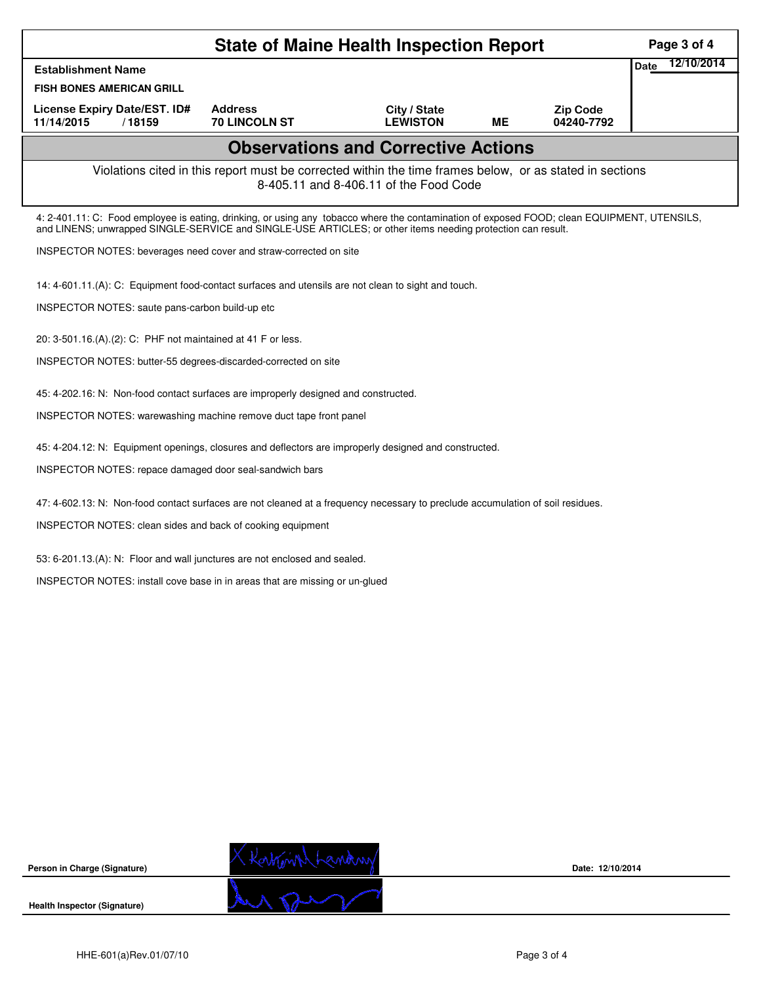|                                                                                                                                                    | Page 3 of 4                                                                                                                                                                                                                                                |                                 |           |                               |                           |  |  |  |  |  |
|----------------------------------------------------------------------------------------------------------------------------------------------------|------------------------------------------------------------------------------------------------------------------------------------------------------------------------------------------------------------------------------------------------------------|---------------------------------|-----------|-------------------------------|---------------------------|--|--|--|--|--|
| <b>Establishment Name</b>                                                                                                                          |                                                                                                                                                                                                                                                            |                                 |           |                               | 12/10/2014<br><b>Date</b> |  |  |  |  |  |
| <b>FISH BONES AMERICAN GRILL</b>                                                                                                                   |                                                                                                                                                                                                                                                            |                                 |           |                               |                           |  |  |  |  |  |
| License Expiry Date/EST. ID#<br>11/14/2015<br>/18159                                                                                               | <b>Address</b><br><b>70 LINCOLN ST</b>                                                                                                                                                                                                                     | City / State<br><b>LEWISTON</b> | <b>ME</b> | <b>Zip Code</b><br>04240-7792 |                           |  |  |  |  |  |
| <b>Observations and Corrective Actions</b>                                                                                                         |                                                                                                                                                                                                                                                            |                                 |           |                               |                           |  |  |  |  |  |
| Violations cited in this report must be corrected within the time frames below, or as stated in sections<br>8-405.11 and 8-406.11 of the Food Code |                                                                                                                                                                                                                                                            |                                 |           |                               |                           |  |  |  |  |  |
|                                                                                                                                                    | 4: 2-401.11: C: Food employee is eating, drinking, or using any tobacco where the contamination of exposed FOOD; clean EQUIPMENT, UTENSILS,<br>and LINENS; unwrapped SINGLE-SERVICE and SINGLE-USE ARTICLES; or other items needing protection can result. |                                 |           |                               |                           |  |  |  |  |  |
| INSPECTOR NOTES: beverages need cover and straw-corrected on site                                                                                  |                                                                                                                                                                                                                                                            |                                 |           |                               |                           |  |  |  |  |  |
| 14: 4-601.11.(A): C: Equipment food-contact surfaces and utensils are not clean to sight and touch.                                                |                                                                                                                                                                                                                                                            |                                 |           |                               |                           |  |  |  |  |  |
| INSPECTOR NOTES: saute pans-carbon build-up etc                                                                                                    |                                                                                                                                                                                                                                                            |                                 |           |                               |                           |  |  |  |  |  |
| 20: 3-501.16.(A).(2): C: PHF not maintained at 41 F or less.                                                                                       |                                                                                                                                                                                                                                                            |                                 |           |                               |                           |  |  |  |  |  |
| INSPECTOR NOTES: butter-55 degrees-discarded-corrected on site                                                                                     |                                                                                                                                                                                                                                                            |                                 |           |                               |                           |  |  |  |  |  |
| 45: 4-202.16: N: Non-food contact surfaces are improperly designed and constructed.                                                                |                                                                                                                                                                                                                                                            |                                 |           |                               |                           |  |  |  |  |  |
| INSPECTOR NOTES: warewashing machine remove duct tape front panel                                                                                  |                                                                                                                                                                                                                                                            |                                 |           |                               |                           |  |  |  |  |  |
| 45: 4-204.12: N: Equipment openings, closures and deflectors are improperly designed and constructed.                                              |                                                                                                                                                                                                                                                            |                                 |           |                               |                           |  |  |  |  |  |
| INSPECTOR NOTES: repace damaged door seal-sandwich bars                                                                                            |                                                                                                                                                                                                                                                            |                                 |           |                               |                           |  |  |  |  |  |
| 47: 4-602.13: N: Non-food contact surfaces are not cleaned at a frequency necessary to preclude accumulation of soil residues.                     |                                                                                                                                                                                                                                                            |                                 |           |                               |                           |  |  |  |  |  |
| INSPECTOR NOTES: clean sides and back of cooking equipment                                                                                         |                                                                                                                                                                                                                                                            |                                 |           |                               |                           |  |  |  |  |  |
| 53: 6-201.13.(A): N: Floor and wall junctures are not enclosed and sealed.                                                                         |                                                                                                                                                                                                                                                            |                                 |           |                               |                           |  |  |  |  |  |
| INSPECTOR NOTES: install cove base in in areas that are missing or un-glued                                                                        |                                                                                                                                                                                                                                                            |                                 |           |                               |                           |  |  |  |  |  |
|                                                                                                                                                    |                                                                                                                                                                                                                                                            |                                 |           |                               |                           |  |  |  |  |  |
|                                                                                                                                                    |                                                                                                                                                                                                                                                            |                                 |           |                               |                           |  |  |  |  |  |
|                                                                                                                                                    |                                                                                                                                                                                                                                                            |                                 |           |                               |                           |  |  |  |  |  |
|                                                                                                                                                    |                                                                                                                                                                                                                                                            |                                 |           |                               |                           |  |  |  |  |  |
|                                                                                                                                                    |                                                                                                                                                                                                                                                            |                                 |           |                               |                           |  |  |  |  |  |
|                                                                                                                                                    |                                                                                                                                                                                                                                                            |                                 |           |                               |                           |  |  |  |  |  |
|                                                                                                                                                    |                                                                                                                                                                                                                                                            |                                 |           |                               |                           |  |  |  |  |  |
|                                                                                                                                                    |                                                                                                                                                                                                                                                            |                                 |           |                               |                           |  |  |  |  |  |